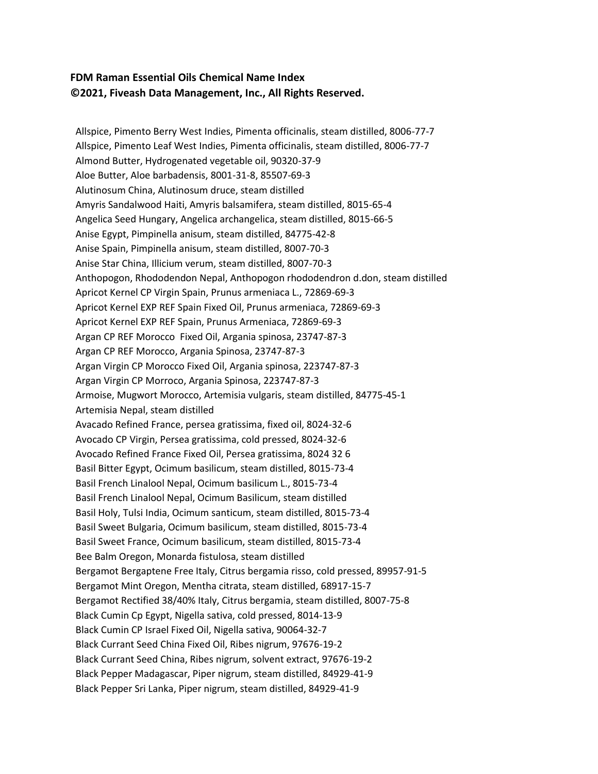## **FDM Raman Essential Oils Chemical Name Index ©2021, Fiveash Data Management, Inc., All Rights Reserved.**

Allspice, Pimento Berry West Indies, Pimenta officinalis, steam distilled, 8006-77-7 Allspice, Pimento Leaf West Indies, Pimenta officinalis, steam distilled, 8006-77-7 Almond Butter, Hydrogenated vegetable oil, 90320-37-9 Aloe Butter, Aloe barbadensis, 8001-31-8, 85507-69-3 Alutinosum China, Alutinosum druce, steam distilled Amyris Sandalwood Haiti, Amyris balsamifera, steam distilled, 8015-65-4 Angelica Seed Hungary, Angelica archangelica, steam distilled, 8015-66-5 Anise Egypt, Pimpinella anisum, steam distilled, 84775-42-8 Anise Spain, Pimpinella anisum, steam distilled, 8007-70-3 Anise Star China, Illicium verum, steam distilled, 8007-70-3 Anthopogon, Rhododendon Nepal, Anthopogon rhododendron d.don, steam distilled Apricot Kernel CP Virgin Spain, Prunus armeniaca L., 72869-69-3 Apricot Kernel EXP REF Spain Fixed Oil, Prunus armeniaca, 72869-69-3 Apricot Kernel EXP REF Spain, Prunus Armeniaca, 72869-69-3 Argan CP REF Morocco Fixed Oil, Argania spinosa, 23747-87-3 Argan CP REF Morocco, Argania Spinosa, 23747-87-3 Argan Virgin CP Morocco Fixed Oil, Argania spinosa, 223747-87-3 Argan Virgin CP Morroco, Argania Spinosa, 223747-87-3 Armoise, Mugwort Morocco, Artemisia vulgaris, steam distilled, 84775-45-1 Artemisia Nepal, steam distilled Avacado Refined France, persea gratissima, fixed oil, 8024-32-6 Avocado CP Virgin, Persea gratissima, cold pressed, 8024-32-6 Avocado Refined France Fixed Oil, Persea gratissima, 8024 32 6 Basil Bitter Egypt, Ocimum basilicum, steam distilled, 8015-73-4 Basil French Linalool Nepal, Ocimum basilicum L., 8015-73-4 Basil French Linalool Nepal, Ocimum Basilicum, steam distilled Basil Holy, Tulsi India, Ocimum santicum, steam distilled, 8015-73-4 Basil Sweet Bulgaria, Ocimum basilicum, steam distilled, 8015-73-4 Basil Sweet France, Ocimum basilicum, steam distilled, 8015-73-4 Bee Balm Oregon, Monarda fistulosa, steam distilled Bergamot Bergaptene Free Italy, Citrus bergamia risso, cold pressed, 89957-91-5 Bergamot Mint Oregon, Mentha citrata, steam distilled, 68917-15-7 Bergamot Rectified 38/40% Italy, Citrus bergamia, steam distilled, 8007-75-8 Black Cumin Cp Egypt, Nigella sativa, cold pressed, 8014-13-9 Black Cumin CP Israel Fixed Oil, Nigella sativa, 90064-32-7 Black Currant Seed China Fixed Oil, Ribes nigrum, 97676-19-2 Black Currant Seed China, Ribes nigrum, solvent extract, 97676-19-2 Black Pepper Madagascar, Piper nigrum, steam distilled, 84929-41-9 Black Pepper Sri Lanka, Piper nigrum, steam distilled, 84929-41-9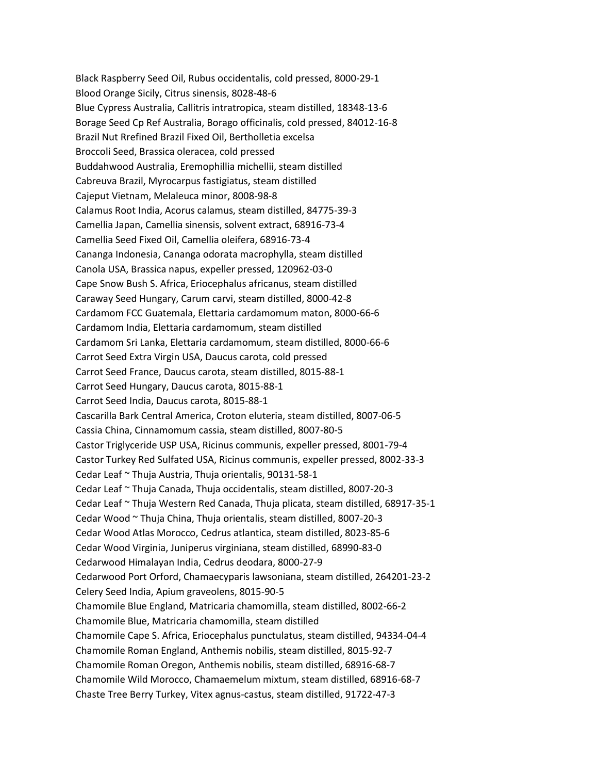Black Raspberry Seed Oil, Rubus occidentalis, cold pressed, 8000-29-1 Blood Orange Sicily, Citrus sinensis, 8028-48-6 Blue Cypress Australia, Callitris intratropica, steam distilled, 18348-13-6 Borage Seed Cp Ref Australia, Borago officinalis, cold pressed, 84012-16-8 Brazil Nut Rrefined Brazil Fixed Oil, Bertholletia excelsa Broccoli Seed, Brassica oleracea, cold pressed Buddahwood Australia, Eremophillia michellii, steam distilled Cabreuva Brazil, Myrocarpus fastigiatus, steam distilled Cajeput Vietnam, Melaleuca minor, 8008-98-8 Calamus Root India, Acorus calamus, steam distilled, 84775-39-3 Camellia Japan, Camellia sinensis, solvent extract, 68916-73-4 Camellia Seed Fixed Oil, Camellia oleifera, 68916-73-4 Cananga Indonesia, Cananga odorata macrophylla, steam distilled Canola USA, Brassica napus, expeller pressed, 120962-03-0 Cape Snow Bush S. Africa, Eriocephalus africanus, steam distilled Caraway Seed Hungary, Carum carvi, steam distilled, 8000-42-8 Cardamom FCC Guatemala, Elettaria cardamomum maton, 8000-66-6 Cardamom India, Elettaria cardamomum, steam distilled Cardamom Sri Lanka, Elettaria cardamomum, steam distilled, 8000-66-6 Carrot Seed Extra Virgin USA, Daucus carota, cold pressed Carrot Seed France, Daucus carota, steam distilled, 8015-88-1 Carrot Seed Hungary, Daucus carota, 8015-88-1 Carrot Seed India, Daucus carota, 8015-88-1 Cascarilla Bark Central America, Croton eluteria, steam distilled, 8007-06-5 Cassia China, Cinnamomum cassia, steam distilled, 8007-80-5 Castor Triglyceride USP USA, Ricinus communis, expeller pressed, 8001-79-4 Castor Turkey Red Sulfated USA, Ricinus communis, expeller pressed, 8002-33-3 Cedar Leaf ~ Thuja Austria, Thuja orientalis, 90131-58-1 Cedar Leaf ~ Thuja Canada, Thuja occidentalis, steam distilled, 8007-20-3 Cedar Leaf ~ Thuja Western Red Canada, Thuja plicata, steam distilled, 68917-35-1 Cedar Wood ~ Thuja China, Thuja orientalis, steam distilled, 8007-20-3 Cedar Wood Atlas Morocco, Cedrus atlantica, steam distilled, 8023-85-6 Cedar Wood Virginia, Juniperus virginiana, steam distilled, 68990-83-0 Cedarwood Himalayan India, Cedrus deodara, 8000-27-9 Cedarwood Port Orford, Chamaecyparis lawsoniana, steam distilled, 264201-23-2 Celery Seed India, Apium graveolens, 8015-90-5 Chamomile Blue England, Matricaria chamomilla, steam distilled, 8002-66-2 Chamomile Blue, Matricaria chamomilla, steam distilled Chamomile Cape S. Africa, Eriocephalus punctulatus, steam distilled, 94334-04-4 Chamomile Roman England, Anthemis nobilis, steam distilled, 8015-92-7 Chamomile Roman Oregon, Anthemis nobilis, steam distilled, 68916-68-7 Chamomile Wild Morocco, Chamaemelum mixtum, steam distilled, 68916-68-7 Chaste Tree Berry Turkey, Vitex agnus-castus, steam distilled, 91722-47-3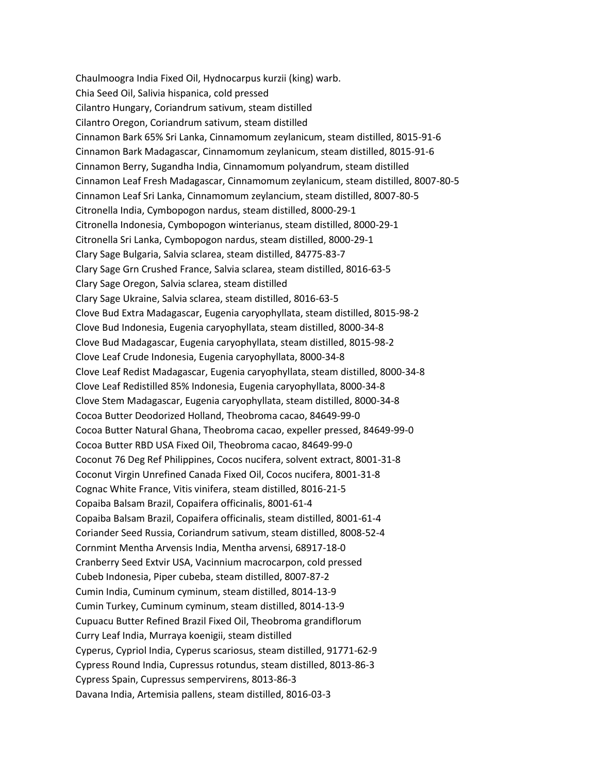Chaulmoogra India Fixed Oil, Hydnocarpus kurzii (king) warb. Chia Seed Oil, Salivia hispanica, cold pressed Cilantro Hungary, Coriandrum sativum, steam distilled Cilantro Oregon, Coriandrum sativum, steam distilled Cinnamon Bark 65% Sri Lanka, Cinnamomum zeylanicum, steam distilled, 8015-91-6 Cinnamon Bark Madagascar, Cinnamomum zeylanicum, steam distilled, 8015-91-6 Cinnamon Berry, Sugandha India, Cinnamomum polyandrum, steam distilled Cinnamon Leaf Fresh Madagascar, Cinnamomum zeylanicum, steam distilled, 8007-80-5 Cinnamon Leaf Sri Lanka, Cinnamomum zeylancium, steam distilled, 8007-80-5 Citronella India, Cymbopogon nardus, steam distilled, 8000-29-1 Citronella Indonesia, Cymbopogon winterianus, steam distilled, 8000-29-1 Citronella Sri Lanka, Cymbopogon nardus, steam distilled, 8000-29-1 Clary Sage Bulgaria, Salvia sclarea, steam distilled, 84775-83-7 Clary Sage Grn Crushed France, Salvia sclarea, steam distilled, 8016-63-5 Clary Sage Oregon, Salvia sclarea, steam distilled Clary Sage Ukraine, Salvia sclarea, steam distilled, 8016-63-5 Clove Bud Extra Madagascar, Eugenia caryophyllata, steam distilled, 8015-98-2 Clove Bud Indonesia, Eugenia caryophyllata, steam distilled, 8000-34-8 Clove Bud Madagascar, Eugenia caryophyllata, steam distilled, 8015-98-2 Clove Leaf Crude Indonesia, Eugenia caryophyllata, 8000-34-8 Clove Leaf Redist Madagascar, Eugenia caryophyllata, steam distilled, 8000-34-8 Clove Leaf Redistilled 85% Indonesia, Eugenia caryophyllata, 8000-34-8 Clove Stem Madagascar, Eugenia caryophyllata, steam distilled, 8000-34-8 Cocoa Butter Deodorized Holland, Theobroma cacao, 84649-99-0 Cocoa Butter Natural Ghana, Theobroma cacao, expeller pressed, 84649-99-0 Cocoa Butter RBD USA Fixed Oil, Theobroma cacao, 84649-99-0 Coconut 76 Deg Ref Philippines, Cocos nucifera, solvent extract, 8001-31-8 Coconut Virgin Unrefined Canada Fixed Oil, Cocos nucifera, 8001-31-8 Cognac White France, Vitis vinifera, steam distilled, 8016-21-5 Copaiba Balsam Brazil, Copaifera officinalis, 8001-61-4 Copaiba Balsam Brazil, Copaifera officinalis, steam distilled, 8001-61-4 Coriander Seed Russia, Coriandrum sativum, steam distilled, 8008-52-4 Cornmint Mentha Arvensis India, Mentha arvensi, 68917-18-0 Cranberry Seed Extvir USA, Vacinnium macrocarpon, cold pressed Cubeb Indonesia, Piper cubeba, steam distilled, 8007-87-2 Cumin India, Cuminum cyminum, steam distilled, 8014-13-9 Cumin Turkey, Cuminum cyminum, steam distilled, 8014-13-9 Cupuacu Butter Refined Brazil Fixed Oil, Theobroma grandiflorum Curry Leaf India, Murraya koenigii, steam distilled Cyperus, Cypriol India, Cyperus scariosus, steam distilled, 91771-62-9 Cypress Round India, Cupressus rotundus, steam distilled, 8013-86-3 Cypress Spain, Cupressus sempervirens, 8013-86-3 Davana India, Artemisia pallens, steam distilled, 8016-03-3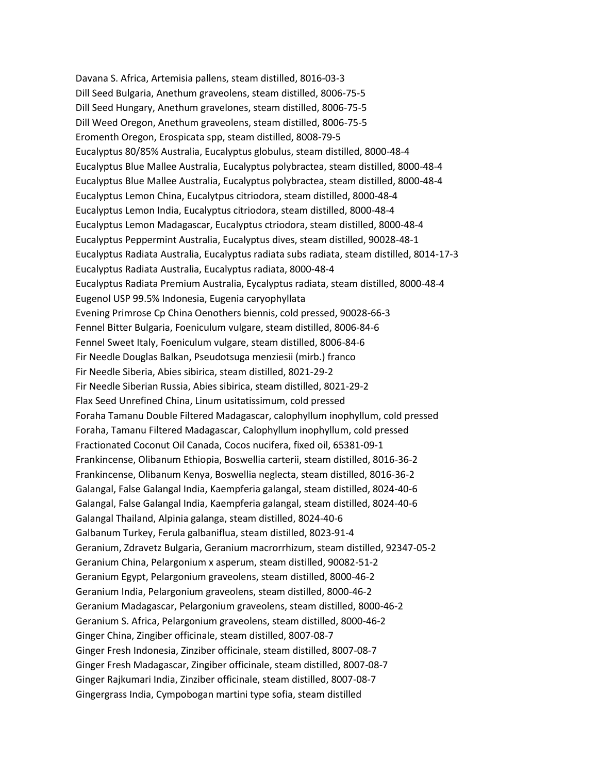Davana S. Africa, Artemisia pallens, steam distilled, 8016-03-3 Dill Seed Bulgaria, Anethum graveolens, steam distilled, 8006-75-5 Dill Seed Hungary, Anethum gravelones, steam distilled, 8006-75-5 Dill Weed Oregon, Anethum graveolens, steam distilled, 8006-75-5 Eromenth Oregon, Erospicata spp, steam distilled, 8008-79-5 Eucalyptus 80/85% Australia, Eucalyptus globulus, steam distilled, 8000-48-4 Eucalyptus Blue Mallee Australia, Eucalyptus polybractea, steam distilled, 8000-48-4 Eucalyptus Blue Mallee Australia, Eucalyptus polybractea, steam distilled, 8000-48-4 Eucalyptus Lemon China, Eucalytpus citriodora, steam distilled, 8000-48-4 Eucalyptus Lemon India, Eucalyptus citriodora, steam distilled, 8000-48-4 Eucalyptus Lemon Madagascar, Eucalyptus ctriodora, steam distilled, 8000-48-4 Eucalyptus Peppermint Australia, Eucalyptus dives, steam distilled, 90028-48-1 Eucalyptus Radiata Australia, Eucalyptus radiata subs radiata, steam distilled, 8014-17-3 Eucalyptus Radiata Australia, Eucalyptus radiata, 8000-48-4 Eucalyptus Radiata Premium Australia, Eycalyptus radiata, steam distilled, 8000-48-4 Eugenol USP 99.5% Indonesia, Eugenia caryophyllata Evening Primrose Cp China Oenothers biennis, cold pressed, 90028-66-3 Fennel Bitter Bulgaria, Foeniculum vulgare, steam distilled, 8006-84-6 Fennel Sweet Italy, Foeniculum vulgare, steam distilled, 8006-84-6 Fir Needle Douglas Balkan, Pseudotsuga menziesii (mirb.) franco Fir Needle Siberia, Abies sibirica, steam distilled, 8021-29-2 Fir Needle Siberian Russia, Abies sibirica, steam distilled, 8021-29-2 Flax Seed Unrefined China, Linum usitatissimum, cold pressed Foraha Tamanu Double Filtered Madagascar, calophyllum inophyllum, cold pressed Foraha, Tamanu Filtered Madagascar, Calophyllum inophyllum, cold pressed Fractionated Coconut Oil Canada, Cocos nucifera, fixed oil, 65381-09-1 Frankincense, Olibanum Ethiopia, Boswellia carterii, steam distilled, 8016-36-2 Frankincense, Olibanum Kenya, Boswellia neglecta, steam distilled, 8016-36-2 Galangal, False Galangal India, Kaempferia galangal, steam distilled, 8024-40-6 Galangal, False Galangal India, Kaempferia galangal, steam distilled, 8024-40-6 Galangal Thailand, Alpinia galanga, steam distilled, 8024-40-6 Galbanum Turkey, Ferula galbaniflua, steam distilled, 8023-91-4 Geranium, Zdravetz Bulgaria, Geranium macrorrhizum, steam distilled, 92347-05-2 Geranium China, Pelargonium x asperum, steam distilled, 90082-51-2 Geranium Egypt, Pelargonium graveolens, steam distilled, 8000-46-2 Geranium India, Pelargonium graveolens, steam distilled, 8000-46-2 Geranium Madagascar, Pelargonium graveolens, steam distilled, 8000-46-2 Geranium S. Africa, Pelargonium graveolens, steam distilled, 8000-46-2 Ginger China, Zingiber officinale, steam distilled, 8007-08-7 Ginger Fresh Indonesia, Zinziber officinale, steam distilled, 8007-08-7 Ginger Fresh Madagascar, Zingiber officinale, steam distilled, 8007-08-7 Ginger Rajkumari India, Zinziber officinale, steam distilled, 8007-08-7 Gingergrass India, Cympobogan martini type sofia, steam distilled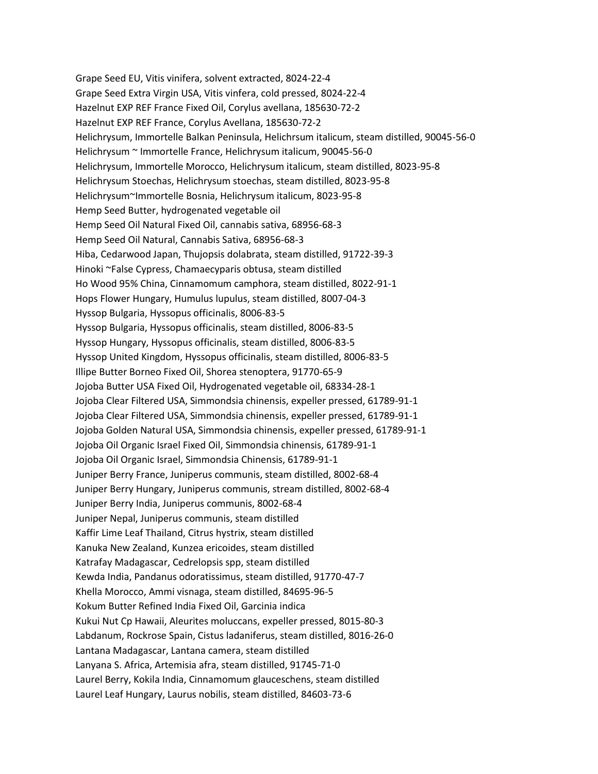Grape Seed EU, Vitis vinifera, solvent extracted, 8024-22-4 Grape Seed Extra Virgin USA, Vitis vinfera, cold pressed, 8024-22-4 Hazelnut EXP REF France Fixed Oil, Corylus avellana, 185630-72-2 Hazelnut EXP REF France, Corylus Avellana, 185630-72-2 Helichrysum, Immortelle Balkan Peninsula, Helichrsum italicum, steam distilled, 90045-56-0 Helichrysum ~ Immortelle France, Helichrysum italicum, 90045-56-0 Helichrysum, Immortelle Morocco, Helichrysum italicum, steam distilled, 8023-95-8 Helichrysum Stoechas, Helichrysum stoechas, steam distilled, 8023-95-8 Helichrysum~Immortelle Bosnia, Helichrysum italicum, 8023-95-8 Hemp Seed Butter, hydrogenated vegetable oil Hemp Seed Oil Natural Fixed Oil, cannabis sativa, 68956-68-3 Hemp Seed Oil Natural, Cannabis Sativa, 68956-68-3 Hiba, Cedarwood Japan, Thujopsis dolabrata, steam distilled, 91722-39-3 Hinoki ~False Cypress, Chamaecyparis obtusa, steam distilled Ho Wood 95% China, Cinnamomum camphora, steam distilled, 8022-91-1 Hops Flower Hungary, Humulus lupulus, steam distilled, 8007-04-3 Hyssop Bulgaria, Hyssopus officinalis, 8006-83-5 Hyssop Bulgaria, Hyssopus officinalis, steam distilled, 8006-83-5 Hyssop Hungary, Hyssopus officinalis, steam distilled, 8006-83-5 Hyssop United Kingdom, Hyssopus officinalis, steam distilled, 8006-83-5 Illipe Butter Borneo Fixed Oil, Shorea stenoptera, 91770-65-9 Jojoba Butter USA Fixed Oil, Hydrogenated vegetable oil, 68334-28-1 Jojoba Clear Filtered USA, Simmondsia chinensis, expeller pressed, 61789-91-1 Jojoba Clear Filtered USA, Simmondsia chinensis, expeller pressed, 61789-91-1 Jojoba Golden Natural USA, Simmondsia chinensis, expeller pressed, 61789-91-1 Jojoba Oil Organic Israel Fixed Oil, Simmondsia chinensis, 61789-91-1 Jojoba Oil Organic Israel, Simmondsia Chinensis, 61789-91-1 Juniper Berry France, Juniperus communis, steam distilled, 8002-68-4 Juniper Berry Hungary, Juniperus communis, stream distilled, 8002-68-4 Juniper Berry India, Juniperus communis, 8002-68-4 Juniper Nepal, Juniperus communis, steam distilled Kaffir Lime Leaf Thailand, Citrus hystrix, steam distilled Kanuka New Zealand, Kunzea ericoides, steam distilled Katrafay Madagascar, Cedrelopsis spp, steam distilled Kewda India, Pandanus odoratissimus, steam distilled, 91770-47-7 Khella Morocco, Ammi visnaga, steam distilled, 84695-96-5 Kokum Butter Refined India Fixed Oil, Garcinia indica Kukui Nut Cp Hawaii, Aleurites moluccans, expeller pressed, 8015-80-3 Labdanum, Rockrose Spain, Cistus ladaniferus, steam distilled, 8016-26-0 Lantana Madagascar, Lantana camera, steam distilled Lanyana S. Africa, Artemisia afra, steam distilled, 91745-71-0 Laurel Berry, Kokila India, Cinnamomum glauceschens, steam distilled Laurel Leaf Hungary, Laurus nobilis, steam distilled, 84603-73-6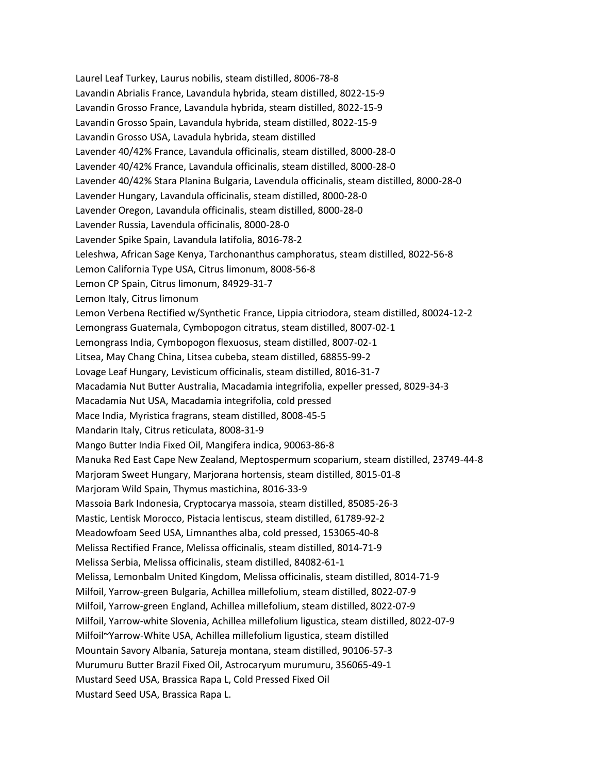Laurel Leaf Turkey, Laurus nobilis, steam distilled, 8006-78-8 Lavandin Abrialis France, Lavandula hybrida, steam distilled, 8022-15-9 Lavandin Grosso France, Lavandula hybrida, steam distilled, 8022-15-9 Lavandin Grosso Spain, Lavandula hybrida, steam distilled, 8022-15-9 Lavandin Grosso USA, Lavadula hybrida, steam distilled Lavender 40/42% France, Lavandula officinalis, steam distilled, 8000-28-0 Lavender 40/42% France, Lavandula officinalis, steam distilled, 8000-28-0 Lavender 40/42% Stara Planina Bulgaria, Lavendula officinalis, steam distilled, 8000-28-0 Lavender Hungary, Lavandula officinalis, steam distilled, 8000-28-0 Lavender Oregon, Lavandula officinalis, steam distilled, 8000-28-0 Lavender Russia, Lavendula officinalis, 8000-28-0 Lavender Spike Spain, Lavandula latifolia, 8016-78-2 Leleshwa, African Sage Kenya, Tarchonanthus camphoratus, steam distilled, 8022-56-8 Lemon California Type USA, Citrus limonum, 8008-56-8 Lemon CP Spain, Citrus limonum, 84929-31-7 Lemon Italy, Citrus limonum Lemon Verbena Rectified w/Synthetic France, Lippia citriodora, steam distilled, 80024-12-2 Lemongrass Guatemala, Cymbopogon citratus, steam distilled, 8007-02-1 Lemongrass India, Cymbopogon flexuosus, steam distilled, 8007-02-1 Litsea, May Chang China, Litsea cubeba, steam distilled, 68855-99-2 Lovage Leaf Hungary, Levisticum officinalis, steam distilled, 8016-31-7 Macadamia Nut Butter Australia, Macadamia integrifolia, expeller pressed, 8029-34-3 Macadamia Nut USA, Macadamia integrifolia, cold pressed Mace India, Myristica fragrans, steam distilled, 8008-45-5 Mandarin Italy, Citrus reticulata, 8008-31-9 Mango Butter India Fixed Oil, Mangifera indica, 90063-86-8 Manuka Red East Cape New Zealand, Meptospermum scoparium, steam distilled, 23749-44-8 Marjoram Sweet Hungary, Marjorana hortensis, steam distilled, 8015-01-8 Marjoram Wild Spain, Thymus mastichina, 8016-33-9 Massoia Bark Indonesia, Cryptocarya massoia, steam distilled, 85085-26-3 Mastic, Lentisk Morocco, Pistacia lentiscus, steam distilled, 61789-92-2 Meadowfoam Seed USA, Limnanthes alba, cold pressed, 153065-40-8 Melissa Rectified France, Melissa officinalis, steam distilled, 8014-71-9 Melissa Serbia, Melissa officinalis, steam distilled, 84082-61-1 Melissa, Lemonbalm United Kingdom, Melissa officinalis, steam distilled, 8014-71-9 Milfoil, Yarrow-green Bulgaria, Achillea millefolium, steam distilled, 8022-07-9 Milfoil, Yarrow-green England, Achillea millefolium, steam distilled, 8022-07-9 Milfoil, Yarrow-white Slovenia, Achillea millefolium ligustica, steam distilled, 8022-07-9 Milfoil~Yarrow-White USA, Achillea millefolium ligustica, steam distilled Mountain Savory Albania, Satureja montana, steam distilled, 90106-57-3 Murumuru Butter Brazil Fixed Oil, Astrocaryum murumuru, 356065-49-1 Mustard Seed USA, Brassica Rapa L, Cold Pressed Fixed Oil Mustard Seed USA, Brassica Rapa L.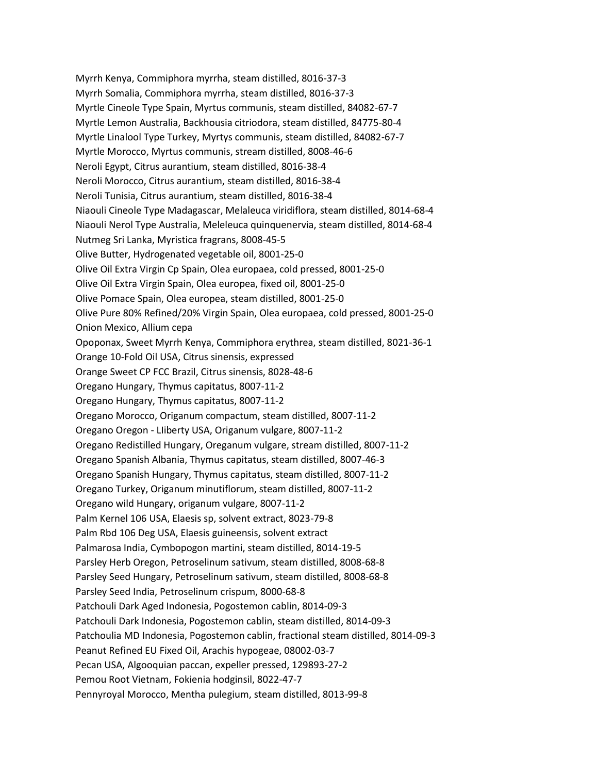Myrrh Kenya, Commiphora myrrha, steam distilled, 8016-37-3 Myrrh Somalia, Commiphora myrrha, steam distilled, 8016-37-3 Myrtle Cineole Type Spain, Myrtus communis, steam distilled, 84082-67-7 Myrtle Lemon Australia, Backhousia citriodora, steam distilled, 84775-80-4 Myrtle Linalool Type Turkey, Myrtys communis, steam distilled, 84082-67-7 Myrtle Morocco, Myrtus communis, stream distilled, 8008-46-6 Neroli Egypt, Citrus aurantium, steam distilled, 8016-38-4 Neroli Morocco, Citrus aurantium, steam distilled, 8016-38-4 Neroli Tunisia, Citrus aurantium, steam distilled, 8016-38-4 Niaouli Cineole Type Madagascar, Melaleuca viridiflora, steam distilled, 8014-68-4 Niaouli Nerol Type Australia, Meleleuca quinquenervia, steam distilled, 8014-68-4 Nutmeg Sri Lanka, Myristica fragrans, 8008-45-5 Olive Butter, Hydrogenated vegetable oil, 8001-25-0 Olive Oil Extra Virgin Cp Spain, Olea europaea, cold pressed, 8001-25-0 Olive Oil Extra Virgin Spain, Olea europea, fixed oil, 8001-25-0 Olive Pomace Spain, Olea europea, steam distilled, 8001-25-0 Olive Pure 80% Refined/20% Virgin Spain, Olea europaea, cold pressed, 8001-25-0 Onion Mexico, Allium cepa Opoponax, Sweet Myrrh Kenya, Commiphora erythrea, steam distilled, 8021-36-1 Orange 10-Fold Oil USA, Citrus sinensis, expressed Orange Sweet CP FCC Brazil, Citrus sinensis, 8028-48-6 Oregano Hungary, Thymus capitatus, 8007-11-2 Oregano Hungary, Thymus capitatus, 8007-11-2 Oregano Morocco, Origanum compactum, steam distilled, 8007-11-2 Oregano Oregon - LIiberty USA, Origanum vulgare, 8007-11-2 Oregano Redistilled Hungary, Oreganum vulgare, stream distilled, 8007-11-2 Oregano Spanish Albania, Thymus capitatus, steam distilled, 8007-46-3 Oregano Spanish Hungary, Thymus capitatus, steam distilled, 8007-11-2 Oregano Turkey, Origanum minutiflorum, steam distilled, 8007-11-2 Oregano wild Hungary, origanum vulgare, 8007-11-2 Palm Kernel 106 USA, Elaesis sp, solvent extract, 8023-79-8 Palm Rbd 106 Deg USA, Elaesis guineensis, solvent extract Palmarosa India, Cymbopogon martini, steam distilled, 8014-19-5 Parsley Herb Oregon, Petroselinum sativum, steam distilled, 8008-68-8 Parsley Seed Hungary, Petroselinum sativum, steam distilled, 8008-68-8 Parsley Seed India, Petroselinum crispum, 8000-68-8 Patchouli Dark Aged Indonesia, Pogostemon cablin, 8014-09-3 Patchouli Dark Indonesia, Pogostemon cablin, steam distilled, 8014-09-3 Patchoulia MD Indonesia, Pogostemon cablin, fractional steam distilled, 8014-09-3 Peanut Refined EU Fixed Oil, Arachis hypogeae, 08002-03-7 Pecan USA, Algooquian paccan, expeller pressed, 129893-27-2 Pemou Root Vietnam, Fokienia hodginsil, 8022-47-7 Pennyroyal Morocco, Mentha pulegium, steam distilled, 8013-99-8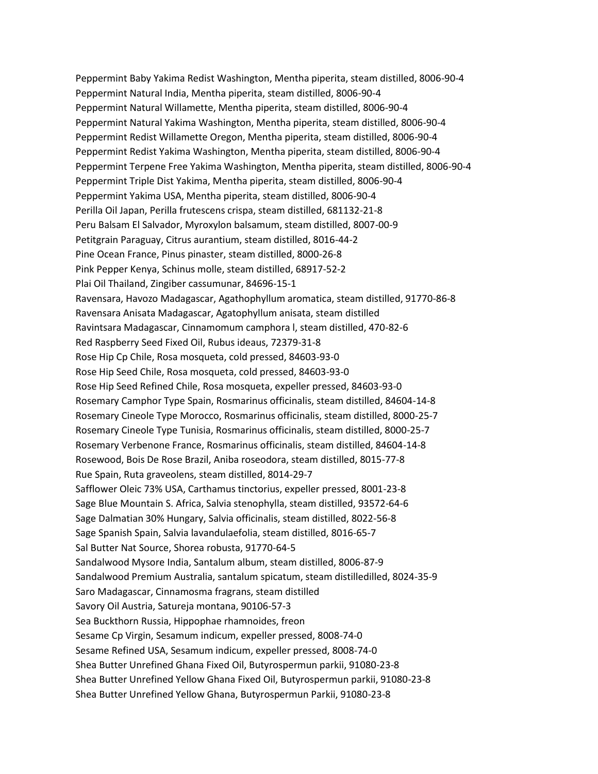Peppermint Baby Yakima Redist Washington, Mentha piperita, steam distilled, 8006-90-4 Peppermint Natural India, Mentha piperita, steam distilled, 8006-90-4 Peppermint Natural Willamette, Mentha piperita, steam distilled, 8006-90-4 Peppermint Natural Yakima Washington, Mentha piperita, steam distilled, 8006-90-4 Peppermint Redist Willamette Oregon, Mentha piperita, steam distilled, 8006-90-4 Peppermint Redist Yakima Washington, Mentha piperita, steam distilled, 8006-90-4 Peppermint Terpene Free Yakima Washington, Mentha piperita, steam distilled, 8006-90-4 Peppermint Triple Dist Yakima, Mentha piperita, steam distilled, 8006-90-4 Peppermint Yakima USA, Mentha piperita, steam distilled, 8006-90-4 Perilla Oil Japan, Perilla frutescens crispa, steam distilled, 681132-21-8 Peru Balsam El Salvador, Myroxylon balsamum, steam distilled, 8007-00-9 Petitgrain Paraguay, Citrus aurantium, steam distilled, 8016-44-2 Pine Ocean France, Pinus pinaster, steam distilled, 8000-26-8 Pink Pepper Kenya, Schinus molle, steam distilled, 68917-52-2 Plai Oil Thailand, Zingiber cassumunar, 84696-15-1 Ravensara, Havozo Madagascar, Agathophyllum aromatica, steam distilled, 91770-86-8 Ravensara Anisata Madagascar, Agatophyllum anisata, steam distilled Ravintsara Madagascar, Cinnamomum camphora l, steam distilled, 470-82-6 Red Raspberry Seed Fixed Oil, Rubus ideaus, 72379-31-8 Rose Hip Cp Chile, Rosa mosqueta, cold pressed, 84603-93-0 Rose Hip Seed Chile, Rosa mosqueta, cold pressed, 84603-93-0 Rose Hip Seed Refined Chile, Rosa mosqueta, expeller pressed, 84603-93-0 Rosemary Camphor Type Spain, Rosmarinus officinalis, steam distilled, 84604-14-8 Rosemary Cineole Type Morocco, Rosmarinus officinalis, steam distilled, 8000-25-7 Rosemary Cineole Type Tunisia, Rosmarinus officinalis, steam distilled, 8000-25-7 Rosemary Verbenone France, Rosmarinus officinalis, steam distilled, 84604-14-8 Rosewood, Bois De Rose Brazil, Aniba roseodora, steam distilled, 8015-77-8 Rue Spain, Ruta graveolens, steam distilled, 8014-29-7 Safflower Oleic 73% USA, Carthamus tinctorius, expeller pressed, 8001-23-8 Sage Blue Mountain S. Africa, Salvia stenophylla, steam distilled, 93572-64-6 Sage Dalmatian 30% Hungary, Salvia officinalis, steam distilled, 8022-56-8 Sage Spanish Spain, Salvia lavandulaefolia, steam distilled, 8016-65-7 Sal Butter Nat Source, Shorea robusta, 91770-64-5 Sandalwood Mysore India, Santalum album, steam distilled, 8006-87-9 Sandalwood Premium Australia, santalum spicatum, steam distilledilled, 8024-35-9 Saro Madagascar, Cinnamosma fragrans, steam distilled Savory Oil Austria, Satureja montana, 90106-57-3 Sea Buckthorn Russia, Hippophae rhamnoides, freon Sesame Cp Virgin, Sesamum indicum, expeller pressed, 8008-74-0 Sesame Refined USA, Sesamum indicum, expeller pressed, 8008-74-0 Shea Butter Unrefined Ghana Fixed Oil, Butyrospermun parkii, 91080-23-8 Shea Butter Unrefined Yellow Ghana Fixed Oil, Butyrospermun parkii, 91080-23-8 Shea Butter Unrefined Yellow Ghana, Butyrospermun Parkii, 91080-23-8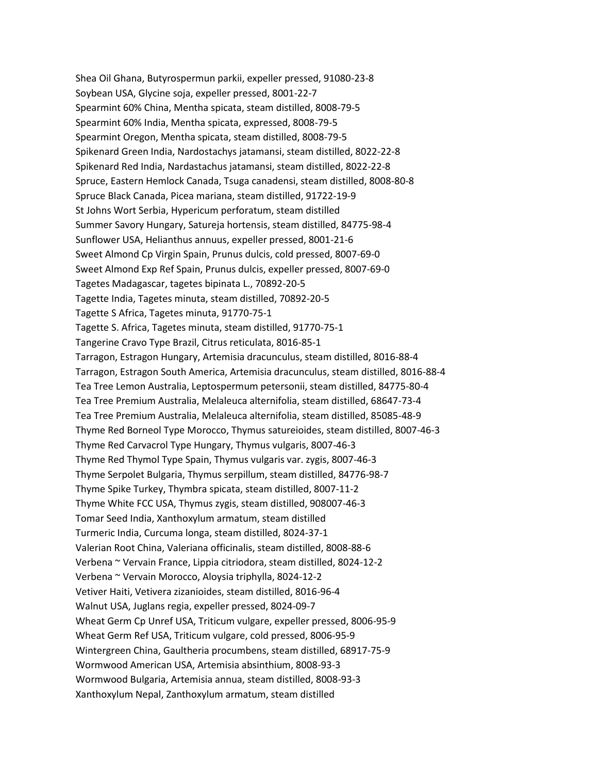Shea Oil Ghana, Butyrospermun parkii, expeller pressed, 91080-23-8 Soybean USA, Glycine soja, expeller pressed, 8001-22-7 Spearmint 60% China, Mentha spicata, steam distilled, 8008-79-5 Spearmint 60% India, Mentha spicata, expressed, 8008-79-5 Spearmint Oregon, Mentha spicata, steam distilled, 8008-79-5 Spikenard Green India, Nardostachys jatamansi, steam distilled, 8022-22-8 Spikenard Red India, Nardastachus jatamansi, steam distilled, 8022-22-8 Spruce, Eastern Hemlock Canada, Tsuga canadensi, steam distilled, 8008-80-8 Spruce Black Canada, Picea mariana, steam distilled, 91722-19-9 St Johns Wort Serbia, Hypericum perforatum, steam distilled Summer Savory Hungary, Satureja hortensis, steam distilled, 84775-98-4 Sunflower USA, Helianthus annuus, expeller pressed, 8001-21-6 Sweet Almond Cp Virgin Spain, Prunus dulcis, cold pressed, 8007-69-0 Sweet Almond Exp Ref Spain, Prunus dulcis, expeller pressed, 8007-69-0 Tagetes Madagascar, tagetes bipinata L., 70892-20-5 Tagette India, Tagetes minuta, steam distilled, 70892-20-5 Tagette S Africa, Tagetes minuta, 91770-75-1 Tagette S. Africa, Tagetes minuta, steam distilled, 91770-75-1 Tangerine Cravo Type Brazil, Citrus reticulata, 8016-85-1 Tarragon, Estragon Hungary, Artemisia dracunculus, steam distilled, 8016-88-4 Tarragon, Estragon South America, Artemisia dracunculus, steam distilled, 8016-88-4 Tea Tree Lemon Australia, Leptospermum petersonii, steam distilled, 84775-80-4 Tea Tree Premium Australia, Melaleuca alternifolia, steam distilled, 68647-73-4 Tea Tree Premium Australia, Melaleuca alternifolia, steam distilled, 85085-48-9 Thyme Red Borneol Type Morocco, Thymus satureioides, steam distilled, 8007-46-3 Thyme Red Carvacrol Type Hungary, Thymus vulgaris, 8007-46-3 Thyme Red Thymol Type Spain, Thymus vulgaris var. zygis, 8007-46-3 Thyme Serpolet Bulgaria, Thymus serpillum, steam distilled, 84776-98-7 Thyme Spike Turkey, Thymbra spicata, steam distilled, 8007-11-2 Thyme White FCC USA, Thymus zygis, steam distilled, 908007-46-3 Tomar Seed India, Xanthoxylum armatum, steam distilled Turmeric India, Curcuma longa, steam distilled, 8024-37-1 Valerian Root China, Valeriana officinalis, steam distilled, 8008-88-6 Verbena ~ Vervain France, Lippia citriodora, steam distilled, 8024-12-2 Verbena ~ Vervain Morocco, Aloysia triphylla, 8024-12-2 Vetiver Haiti, Vetivera zizanioides, steam distilled, 8016-96-4 Walnut USA, Juglans regia, expeller pressed, 8024-09-7 Wheat Germ Cp Unref USA, Triticum vulgare, expeller pressed, 8006-95-9 Wheat Germ Ref USA, Triticum vulgare, cold pressed, 8006-95-9 Wintergreen China, Gaultheria procumbens, steam distilled, 68917-75-9 Wormwood American USA, Artemisia absinthium, 8008-93-3 Wormwood Bulgaria, Artemisia annua, steam distilled, 8008-93-3 Xanthoxylum Nepal, Zanthoxylum armatum, steam distilled